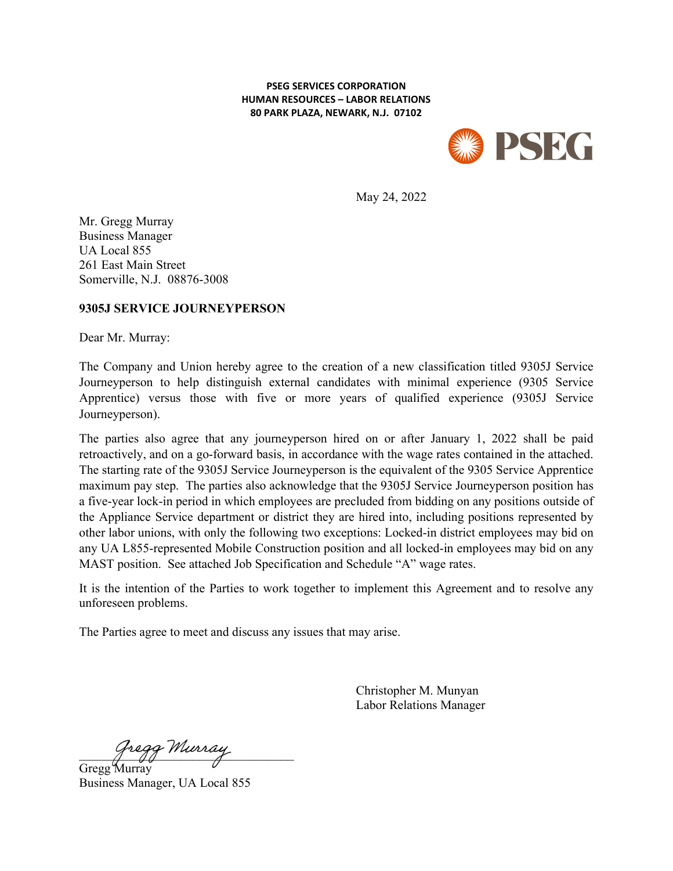#### **PSEG SERVICES CORPORATION HUMAN RESOURCES – LABOR RELATIONS 80 PARK PLAZA, NEWARK, N.J. 07102**



May 24, 2022

Mr. Gregg Murray Business Manager UA Local 855 261 East Main Street Somerville, N.J. 08876-3008

### **9305J SERVICE JOURNEYPERSON**

Dear Mr. Murray:

The Company and Union hereby agree to the creation of a new classification titled 9305J Service Journeyperson to help distinguish external candidates with minimal experience (9305 Service Apprentice) versus those with five or more years of qualified experience (9305J Service Journeyperson).

The parties also agree that any journeyperson hired on or after January 1, 2022 shall be paid retroactively, and on a go-forward basis, in accordance with the wage rates contained in the attached. The starting rate of the 9305J Service Journeyperson is the equivalent of the 9305 Service Apprentice maximum pay step. The parties also acknowledge that the 9305J Service Journeyperson position has a five-year lock-in period in which employees are precluded from bidding on any positions outside of the Appliance Service department or district they are hired into, including positions represented by other labor unions, with only the following two exceptions: Locked-in district employees may bid on any UA L855-represented Mobile Construction position and all locked-in employees may bid on any MAST position. See attached Job Specification and Schedule "A" wage rates.

It is the intention of the Parties to work together to implement this Agreement and to resolve any unforeseen problems.

The Parties agree to meet and discuss any issues that may arise.

Christopher M. Munyan Labor Relations Manager

Gregg Murray

Gregg Murray Business Manager, UA Local 855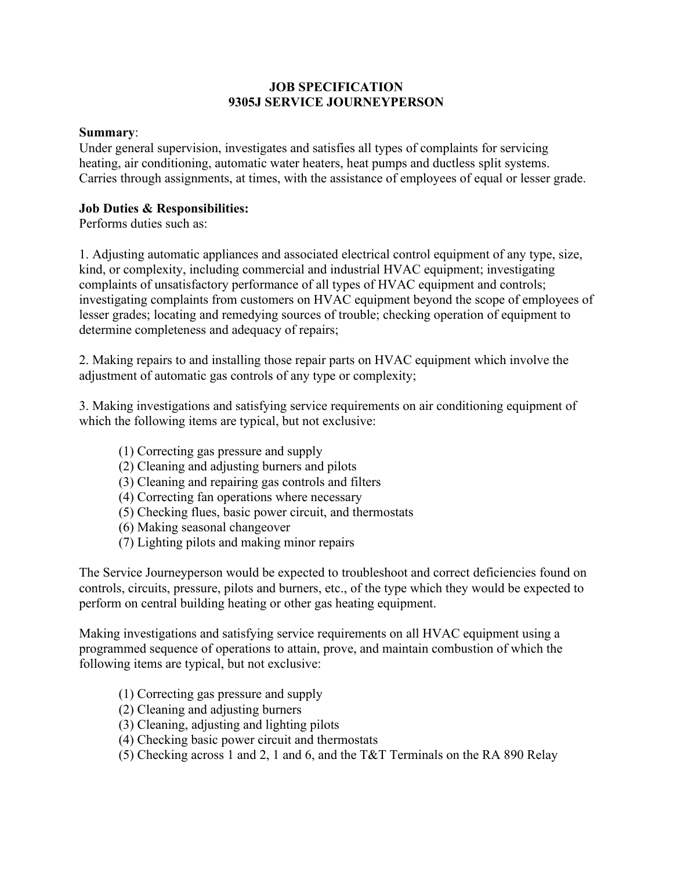## **JOB SPECIFICATION 9305J SERVICE JOURNEYPERSON**

## **Summary**:

Under general supervision, investigates and satisfies all types of complaints for servicing heating, air conditioning, automatic water heaters, heat pumps and ductless split systems. Carries through assignments, at times, with the assistance of employees of equal or lesser grade.

# **Job Duties & Responsibilities:**

Performs duties such as:

1. Adjusting automatic appliances and associated electrical control equipment of any type, size, kind, or complexity, including commercial and industrial HVAC equipment; investigating complaints of unsatisfactory performance of all types of HVAC equipment and controls; investigating complaints from customers on HVAC equipment beyond the scope of employees of lesser grades; locating and remedying sources of trouble; checking operation of equipment to determine completeness and adequacy of repairs;

2. Making repairs to and installing those repair parts on HVAC equipment which involve the adjustment of automatic gas controls of any type or complexity;

3. Making investigations and satisfying service requirements on air conditioning equipment of which the following items are typical, but not exclusive:

- (1) Correcting gas pressure and supply
- (2) Cleaning and adjusting burners and pilots
- (3) Cleaning and repairing gas controls and filters
- (4) Correcting fan operations where necessary
- (5) Checking flues, basic power circuit, and thermostats
- (6) Making seasonal changeover
- (7) Lighting pilots and making minor repairs

The Service Journeyperson would be expected to troubleshoot and correct deficiencies found on controls, circuits, pressure, pilots and burners, etc., of the type which they would be expected to perform on central building heating or other gas heating equipment.

Making investigations and satisfying service requirements on all HVAC equipment using a programmed sequence of operations to attain, prove, and maintain combustion of which the following items are typical, but not exclusive:

- (1) Correcting gas pressure and supply
- (2) Cleaning and adjusting burners
- (3) Cleaning, adjusting and lighting pilots
- (4) Checking basic power circuit and thermostats
- (5) Checking across 1 and 2, 1 and 6, and the T&T Terminals on the RA 890 Relay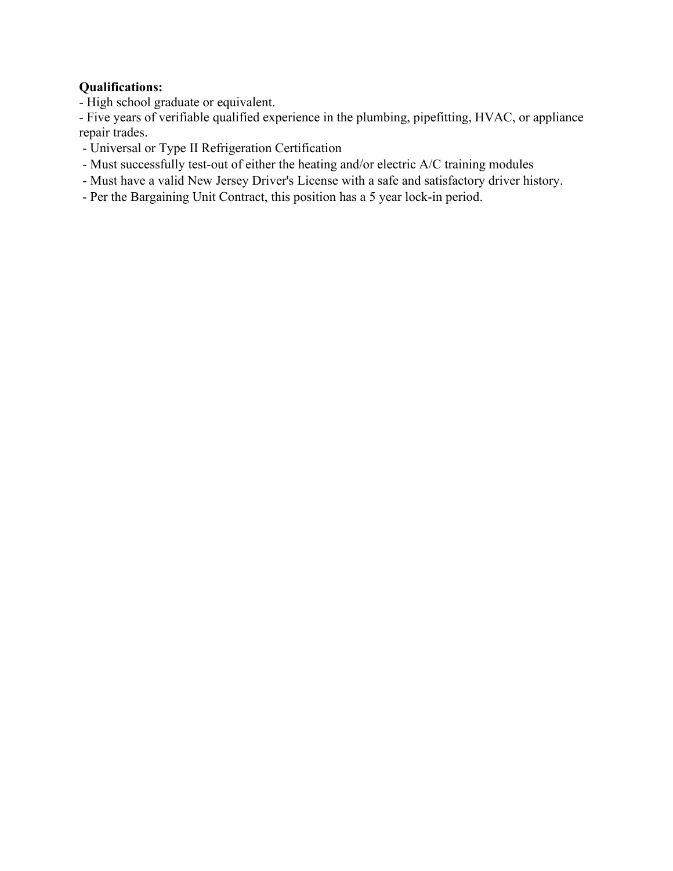# **Qualifications:**

- High school graduate or equivalent.

- Five years of verifiable qualified experience in the plumbing, pipefitting, HVAC, or appliance repair trades.

- Universal or Type II Refrigeration Certification
- Must successfully test-out of either the heating and/or electric A/C training modules
- Must have a valid New Jersey Driver's License with a safe and satisfactory driver history.
- Per the Bargaining Unit Contract, this position has a 5 year lock-in period.